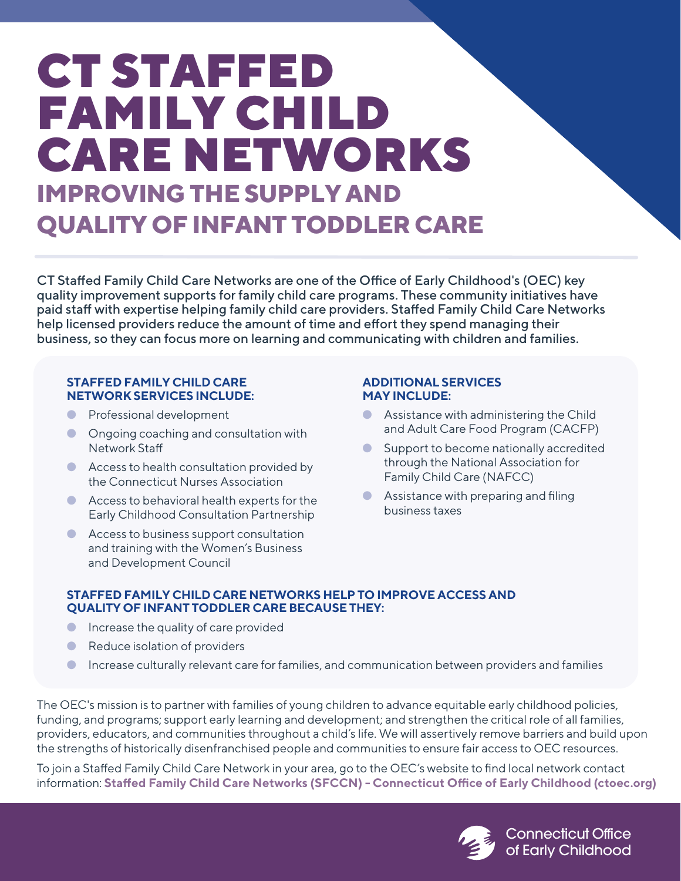# CT STAFFED FAMILY CHILD CARE NETWORKS **IMPROVING THE SUPPLY AND QUALITY OF INFANT TODDLER CARE**

CT Staffed Family Child Care Networks are one of the Office of Early Childhood's (OEC) key quality improvement supports for family child care programs. These community initiatives have paid staff with expertise helping family child care providers. Staffed Family Child Care Networks help licensed providers reduce the amount of time and effort they spend managing their business, so they can focus more on learning and communicating with children and families.

### **STAFFED FAMILY CHILD CARE NETWORK SERVICES INCLUDE:**

- Professional development
- Ongoing coaching and consultation with Network Sta
- Access to health consultation provided by the Connecticut Nurses Association
- Access to behavioral health experts for the Early Childhood Consultation Partnership
- Access to business support consultation and training with the Women's Business and Development Council

## **ADDITIONAL SERVICES MAY INCLUDE:**

- **Assistance with administering the Child** and Adult Care Food Program (CACFP)
- Support to become nationally accredited through the National Association for Family Child Care (NAFCC)
- Assistance with preparing and filing business taxes

# **STAFFED FAMILY CHILD CARE NETWORKS HELP TO IMPROVE ACCESS AND QUALITY OF INFANT TODDLER CARE BECAUSE THEY:**

- **•** Increase the quality of care provided
- Reduce isolation of providers
- Increase culturally relevant care for families, and communication between providers and families

The OEC's mission is to partner with families of young children to advance equitable early childhood policies, funding, and programs; support early learning and development; and strengthen the critical role of all families, providers, educators, and communities throughout a child's life. We will assertively remove barriers and build upon the strengths of historically disenfranchised people and communities to ensure fair access to OEC resources.

To join a Staffed Family Child Care Network in your area, go to the OEC's website to find local network contact information: Staffed Family Child Care Networks (SFCCN) - Connecticut Office of Early Childhood (ctoec.org)